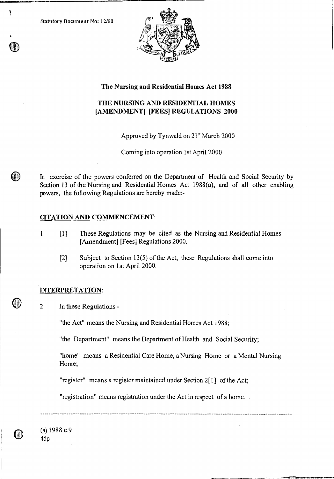Statutory Document No: 12/00

٦

**(#)** 



# **The Nursing and Residential Homes Act 1988**

# **THE NURSING AND RESIDENTIAL HOMES [AMENDMENT] [FEES] REGULATIONS 2000**

Approved by Tynwald on 21<sup>st</sup> March 2000

Coming into operation 1st April 2000

In exercise of the powers conferred on the Department of Health and Social Security by Section 13 of the Nursing and Residential Homes Act 1988(a), and of all other enabling powers, the following Regulations are hereby made:-

# **CITATION AND COMMENCEMENT:**

- 1 [1] These Regulations may be cited as the Nursing and Residential Homes [Amendment] [Fees] Regulations 2000.
	- [2] Subject to Section 13(5) of the Act, these Regulations shall come into operation on 1st April 2000.

### **INTERPRETATION:**

2 In these Regulations -

"the Act" means the Nursing and Residential Homes Act 1988;

"the Department" means the Department of Health and Social Security;

"home" means a Residential Care Home, a Nursing Home or a Mental Nursing Home;

"register" means a register maintained under Section 2[1] of the Act;

"registration" means registration under the Act in respect of a home.

(a) 1988 c.9 45p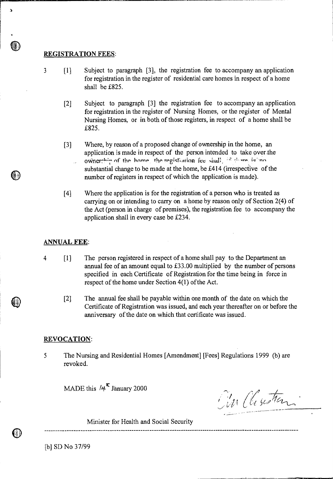### **REGISTRATION FEES:**

•)

- 3 [1] Subject to paragraph [3], the registration fee to accompany an application for registration in the register of residential care homes in respect of a home shall be £825.
	- [2] Subject to paragraph [3] the registration fee to accompany an application for registration in the register of Nursing Homes, or the register of Mental Nursing Homes, or in both of those registers, in respect of a home shall be £825.
	- [3] Where, by reason of a proposed change of ownership in the home, an application is made in respect of the person intended to take over the ownerghin of the home the registration fee shall, is done is no substantial change to be made at the home, be £414 (irrespective of the number of registers in respect of which the application is made).
	- [4] Where the application is for the registration of a person who is treated as carrying on or intending to carry on a home by reason only of Section 2(4) of the Act (person in charge of premises), the registration fee to accompany the application shall in every case be £234.

#### **ANNUAL FEE:**

- **4 [1]** The person registered in respect of a home shall pay to the Department an annual fee of an amount equal to £33.00 multiplied by the number of persons specified in each Certificate of Registration for the time being in force in respect of the home under Section 4(1) of the Act.
	- [2] The annual fee shall be payable within one month of the date on which the Certificate of Registration was issued, and each year thereafter on or before the anniversary of the date on which that certificate was issued.

#### **REVOCATION:**

5 The Nursing and Residential Homes [Amendment] [Fees] Regulations 1999 (b) are revoked.

MADE this  $/4^{\kappa}$  January 2000

Tim Chustian

Minister for Health and Social Security

[b] SD No 37/99